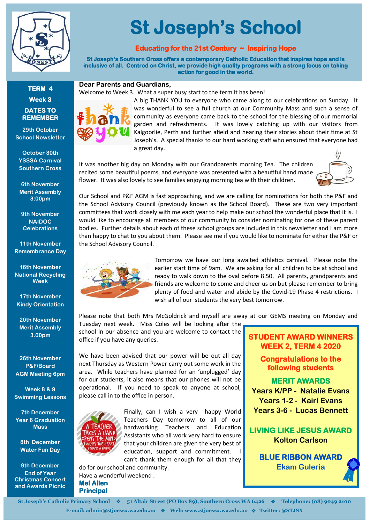

## **TERM 4 Week 3 DATES TO REMEMBER**

**29th October School Newsletter**

**October 30th YSSSA Carnival Southern Cross**

**6th November Merit Assembly 3:00pm**

**9th November NAIDOC Celebrations**

**11th November Remembrance Day**

**16th November National Recycling Week**

**17th November Kindy Orientation** 

**20th November Merit Assembly 3.00pm**

**26th November P&F/Board AGM Meeting 6pm**

**Week 8 & 9 Swimming Lessons** 

**7th December Year 6 Graduation Mass**

**8th December Water Fun Day**

**9th December End of Year Christmas Concert and Awards Picnic**

# **St Joseph's School**

## **Educating for the 21st Century ~ Inspiring Hope**

**St Joseph's Southern Cross offers a contemporary Catholic Education that inspires hope and is inclusive of all. Centred on Christ, we provide high quality programs with a strong focus on taking action for good in the world.** 

### **Dear Parents and Guardians,**

Welcome to Week 3. What a super busy start to the term it has been!



A big THANK YOU to everyone who came along to our celebrations on Sunday. It was wonderful to see a full church at our Community Mass and such a sense of community as everyone came back to the school for the blessing of our memorial garden and refreshments. It was lovely catching up with our visitors from Kalgoorlie, Perth and further afield and hearing their stories about their time at St Joseph's. A special thanks to our hard working staff who ensured that everyone had a great day.

It was another big day on Monday with our Grandparents morning Tea. The children recited some beautiful poems, and everyone was presented with a beautiful hand made flower. It was also lovely to see families enjoying morning tea with their children.



Our School and P&F AGM is fast approaching, and we are calling for nominations for both the P&F and the School Advisory Council (previously known as the School Board). These are two very important committees that work closely with me each year to help make our school the wonderful place that it is. I would like to encourage all members of our community to consider nominating for one of these parent bodies. Further details about each of these school groups are included in this newsletter and I am more than happy to chat to you about them. Please see me if you would like to nominate for either the P&F or the School Advisory Council.



Tomorrow we have our long awaited athletics carnival. Please note the earlier start time of 9am. We are asking for all children to be at school and ready to walk down to the oval before 8.50. All parents, grandparents and friends are welcome to come and cheer us on but please remember to bring plenty of food and water and abide by the Covid-19 Phase 4 restrictions. I wish all of our students the very best tomorrow.

Please note that both Mrs McGoldrick and myself are away at our GEMS meeting on Monday and

Tuesday next week. Miss Coles will be looking after the school in our absence and you are welcome to contact the office if you have any queries.

We have been advised that our power will be out all day next Thursday as Western Power carry out some work in the area. While teachers have planned for an 'unplugged' day for our students, it also means that our phones will not be operational. If you need to speak to anyone at school, please call in to the office in person.



Finally, can I wish a very happy World Teachers Day tomorrow to all of our hardworking Teachers and Education Assistants who all work very hard to ensure that your children are given the very best of education, support and commitment. I can't thank them enough for all that they

do for our school and community. Have a wonderful weekend . **Mel Allen Principal** 

## **STUDENT AWARD WINNERS WEEK 2, TERM 4 2020**

**Congratulations to the following students** 

## **MERIT AWARDS**

**Years K/PP - Natalie Evans Years 1-2 - Kairi Evans Years 3-6 - Lucas Bennett**

# **LIVING LIKE JESUS AWARD Kolton Carlson**

**BLUE RIBBON AWARD Ekam Guleria**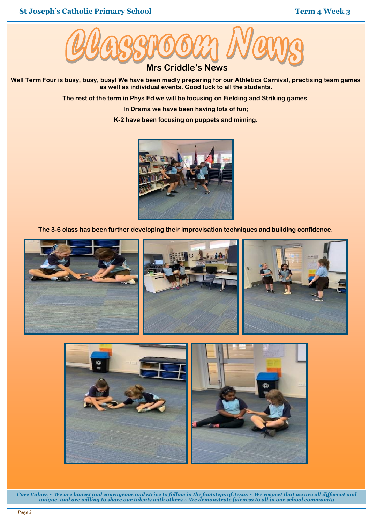

**Well Term Four is busy, busy, busy! We have been madly preparing for our Athletics Carnival, practising team games as well as individual events. Good luck to all the students.**

**The rest of the term in Phys Ed we will be focusing on Fielding and Striking games.**

**In Drama we have been having lots of fun;**

**K-2 have been focusing on puppets and miming.**



**The 3-6 class has been further developing their improvisation techniques and building confidence.**





*Core Values ~ We are honest and courageous and strive to follow in the footsteps of Jesus ~ We respect that we are all different and unique, and are willing to share our talents with others ~ We demonstrate fairness to all in our school community*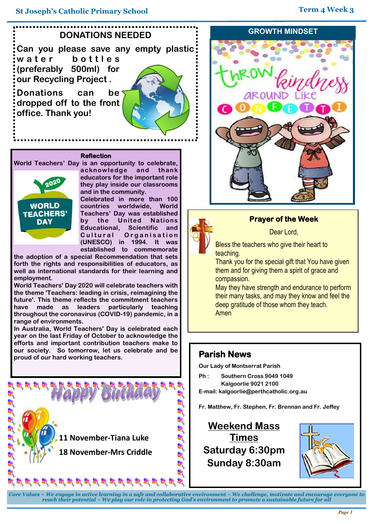

#### **Reflection**

**World Teachers' Day is an opportunity to celebrate,** 



**acknowledge and thank educators for the important role they play inside our classrooms and in the community.**

**Celebrated in more than 100 countries worldwide, World Teachers' Day was established by the United Nations Scientific and Cultural Organisation (UNESCO) in 1994. It was established to commemorate** 

**the adoption of a special Recommendation that sets forth the rights and responsibilities of educators, as well as international standards for their learning and employment.**

**World Teachers' Day 2020 will celebrate teachers with the theme 'Teachers: leading in crisis, reimagining the future'. This theme reflects the commitment teachers have made as leaders particularly teaching throughout the coronavirus (COVID-19) pandemic, in a range of environments.** 

**In Australia, World Teachers' Day is celebrated each year on the last Friday of October to acknowledge the efforts and important contribution teachers make to our society. So tomorrow, let us celebrate and be proud of our hard working teachers.** 







# **Prayer of the Week**

Dear Lord,

Bless the teachers who give their heart to teaching.

Thank you for the special gift that You have given them and for giving them a spirit of grace and compassion.

May they have strength and endurance to perform their many tasks, and may they know and feel the deep gratitude of those whom they teach. Amen

# **Parish News**

**Our Lady of Montserrat Parish**

- **Ph : Southern Cross 9049 1049 Kalgoorlie 9021 2100**
- **E-mail: kalgoorlie@perthcatholic.org.au**

**Fr. Matthew, Fr. Stephen, Fr. Brennan and Fr. Jeffey**

**Weekend Mass Times Saturday 6:30pm Sunday 8:30am** 



*Core Values ~ We engage in active learning in a safe and collaborative environment ~ We challenge, motivate and encourage everyone to reach their potential ~ We play our role in protecting God's environment to promote a sustainable future for all*